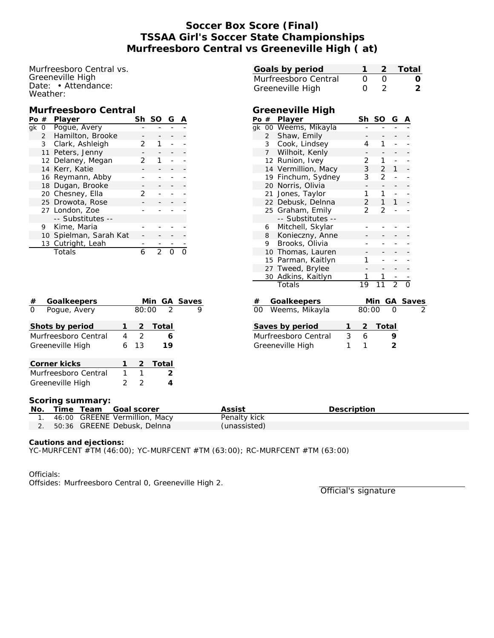# **Soccer Box Score (Final) TSSAA Girl's Soccer State Championships Murfreesboro Central vs Greeneville High ( at)**

Murfreesboro Central vs. Greeneville High Date: • Attendance: Weather:

#### **Murfreesboro Central**

| Pο | #                | Player                 |   | Sh SO | G |  |
|----|------------------|------------------------|---|-------|---|--|
| ak | $\Omega$         | Poque, Avery           |   |       |   |  |
|    |                  | 2 Hamilton, Brooke     |   |       |   |  |
|    |                  | 3 Clark, Ashleigh      | フ |       |   |  |
|    |                  | 11 Peters, Jenny       |   |       |   |  |
|    |                  | 12 Delaney, Megan      | 2 |       |   |  |
|    |                  | 14 Kerr, Katie         |   |       |   |  |
|    |                  | 16 Reymann, Abby       |   |       |   |  |
|    |                  | 18 Dugan, Brooke       |   |       |   |  |
|    |                  | 20 Chesney, Ella       | 2 |       |   |  |
|    | 25 Drowota, Rose |                        |   |       |   |  |
|    |                  | 27 London, Zoe         |   |       |   |  |
|    |                  | -- Substitutes --      |   |       |   |  |
| 9  |                  | Kime, Maria            |   |       |   |  |
|    |                  | 10 Spielman, Sarah Kat |   |       |   |  |
|    |                  | 13 Cutright, Leah      |   |       |   |  |
|    |                  | Totals                 | 6 |       |   |  |

| Goalkeepers<br>#               |   |               | Min GA Saves   |   |
|--------------------------------|---|---------------|----------------|---|
| Pogue, Avery<br>$\overline{O}$ |   | 80:00         | $\overline{2}$ | Q |
| Shots by period                |   | 2             | Total          |   |
| Murfreesboro Central           | 4 | $\mathcal{L}$ | 6              |   |
| Greeneville High               | 6 | 13            | 19             |   |
| Corner kicks                   |   | 2             | Total          |   |
| Murfreesboro Central           |   |               | 2              |   |
| Greeneville High               |   |               |                |   |

| Goals by period                  | 1                          | 2              |                | Total                    |
|----------------------------------|----------------------------|----------------|----------------|--------------------------|
| Murfreesboro Central             | 0                          | $\overline{O}$ |                |                          |
|                                  |                            |                |                |                          |
| Greeneville High                 | $\Omega$                   | $\mathfrak{D}$ |                |                          |
|                                  |                            |                |                |                          |
| Greeneville High                 |                            |                |                |                          |
| Po # Player                      | Sh                         | SO             | G              |                          |
| 00 Weems, Mikayla<br>qk          |                            |                |                |                          |
| Shaw, Emily<br>$\overline{2}$    |                            |                |                |                          |
| Cook, Lindsey<br>3               | 4                          | 1              |                |                          |
| Wilhoit, Kenly<br>$\overline{7}$ |                            |                |                |                          |
| 12 Runion, Ivey                  | 2                          | 1.             | $\overline{a}$ |                          |
| 14 Vermillion, Macy              | 3                          | $\overline{2}$ | 1              |                          |
| 19 Finchum, Sydney               | 3                          | $\overline{2}$ | $\overline{a}$ |                          |
| 20 Norris, Olivia                |                            |                | -              |                          |
| Jones, Taylor<br>21              | 1                          | 1.             | $\overline{a}$ |                          |
| 22 Debusk, Delnna                | $\overline{2}$             | 1              | 1              |                          |
| 25 Graham, Emily                 | $\overline{2}$             | 2              | $\overline{a}$ |                          |
| -- Substitutes --                |                            |                |                |                          |
| Mitchell, Skylar<br>6            |                            |                |                |                          |
| Konieczny, Anne<br>8             |                            |                |                |                          |
| Brooks, Olivia<br>9.             |                            |                | $\overline{a}$ |                          |
| 10 Thomas, Lauren                |                            |                |                |                          |
| 15 Parman, Kaitlyn               | 1                          |                | $\overline{a}$ |                          |
| 27 Tweed, Brylee                 |                            |                |                |                          |
| Adkins, Kaitlyn<br>30            |                            |                |                |                          |
| Totals                           |                            | $\overline{1}$ | $\overline{2}$ |                          |
| Goalkeepers                      |                            |                | <u>GA</u>      | $\frac{\text{Saves}}{2}$ |
| Weems, Mikayla<br>$00\,$         | $\frac{\text{Min}}{80:00}$ |                |                |                          |
|                                  |                            |                |                |                          |
| Saves by period<br>1             | 2                          | <b>Total</b>   |                |                          |
| 3<br>Murfreesboro Central        | 6                          |                | 9              |                          |
| 1<br>Greeneville High            | 1                          |                | $\overline{2}$ |                          |
|                                  |                            |                |                |                          |
|                                  |                            |                |                |                          |
|                                  |                            |                |                |                          |
|                                  |                            |                |                |                          |

#### **Scoring summary:**

| No. |  | Time Team Goal scorer            | Assist       | Description |
|-----|--|----------------------------------|--------------|-------------|
|     |  | 1. 46:00 GREENE Vermillion, Macy | Penalty kick |             |
|     |  | 2. 50:36 GREENE Debusk, Delnna   | (unassisted) |             |

**Cautions and ejections:**

YC-MURFCENT #TM (46:00); YC-MURFCENT #TM (63:00); RC-MURFCENT #TM (63:00)

Officials:

Offsides: Murfreesboro Central 0, Greeneville High 2.

Official's signature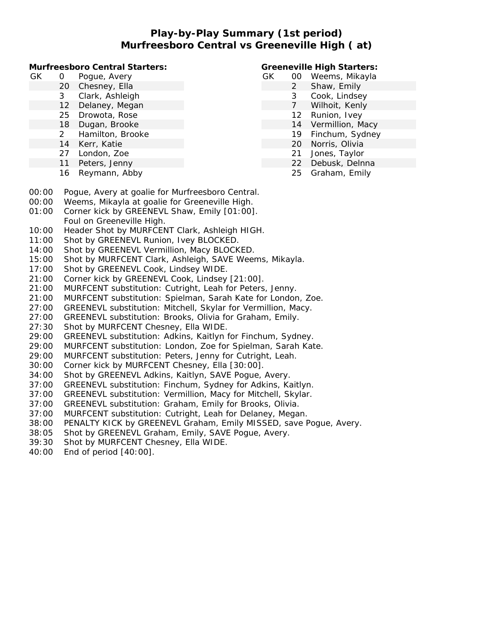## **Play-by-Play Summary (1st period) Murfreesboro Central vs Greeneville High ( at)**

**Murfreesboro Central Starters:**

| GК | Ω | Pogue, Avery |  |
|----|---|--------------|--|
|    |   |              |  |

- 20 Chesney, Ella
	- 3 Clark, Ashleigh
	- 12 Delaney, Megan
	- 25 Drowota, Rose
	- 18 Dugan, Brooke
	- 2 Hamilton, Brooke
	- 14 Kerr, Katie
	- 27 London, Zoe
- 11 Peters, Jenny
- 16 Reymann, Abby

### **Greeneville High Starters:**

- GK 00 Weems, Mikayla
	- 2 Shaw, Emily
		- 3 Cook, Lindsey
		- 7 Wilhoit, Kenly
		- 12 Runion, Ivey
		- 14 Vermillion, Macy
		- 19 Finchum, Sydney
		- 20 Norris, Olivia
		- 21 Jones, Taylor
		- 22 Debusk, Delnna 25 Graham, Emily
- 00:00 Pogue, Avery at goalie for Murfreesboro Central.
- 00:00 Weems, Mikayla at goalie for Greeneville High.
- 01:00 Corner kick by GREENEVL Shaw, Emily [01:00]. Foul on Greeneville High.
- 10:00 Header Shot by MURFCENT Clark, Ashleigh HIGH.
- 11:00 Shot by GREENEVL Runion, Ivey BLOCKED.
- 14:00 Shot by GREENEVL Vermillion, Macy BLOCKED.
- 15:00 Shot by MURFCENT Clark, Ashleigh, SAVE Weems, Mikayla.
- 17:00 Shot by GREENEVL Cook, Lindsey WIDE.
- 21:00 Corner kick by GREENEVL Cook, Lindsey [21:00].
- 21:00 MURFCENT substitution: Cutright, Leah for Peters, Jenny.
- 21:00 MURFCENT substitution: Spielman, Sarah Kate for London, Zoe.
- 27:00 GREENEVL substitution: Mitchell, Skylar for Vermillion, Macy.
- 27:00 GREENEVL substitution: Brooks, Olivia for Graham, Emily.
- 27:30 Shot by MURFCENT Chesney, Ella WIDE.
- 29:00 GREENEVL substitution: Adkins, Kaitlyn for Finchum, Sydney.
- 29:00 MURFCENT substitution: London, Zoe for Spielman, Sarah Kate.
- 29:00 MURFCENT substitution: Peters, Jenny for Cutright, Leah.
- 30:00 Corner kick by MURFCENT Chesney, Ella [30:00].
- 34:00 Shot by GREENEVL Adkins, Kaitlyn, SAVE Pogue, Avery.
- 37:00 GREENEVL substitution: Finchum, Sydney for Adkins, Kaitlyn.
- 37:00 GREENEVL substitution: Vermillion, Macy for Mitchell, Skylar.
- 37:00 GREENEVL substitution: Graham, Emily for Brooks, Olivia.
- 37:00 MURFCENT substitution: Cutright, Leah for Delaney, Megan.
- 38:00 PENALTY KICK by GREENEVL Graham, Emily MISSED, save Pogue, Avery.
- 38:05 Shot by GREENEVL Graham, Emily, SAVE Pogue, Avery.
- 39:30 Shot by MURFCENT Chesney, Ella WIDE.
- 40:00 End of period [40:00].